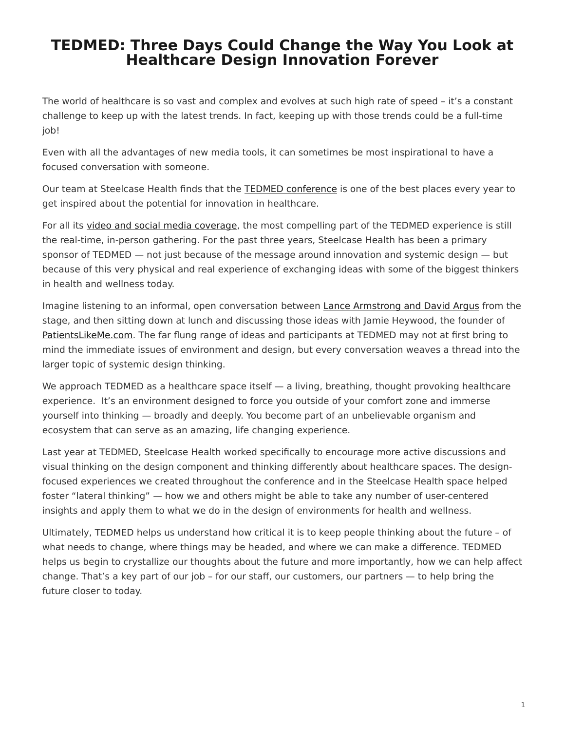## <span id="page-0-0"></span>**TEDMED: Three Days Could Change the Way You Look at Healthcare Design Innovation Forever**

The world of healthcare is so vast and complex and evolves at such high rate of speed – it's a constant challenge to keep up with the latest trends. In fact, keeping up with those trends could be a full-time job!

Even with all the advantages of new media tools, it can sometimes be most inspirational to have a focused conversation with someone.

Our team at Steelcase Health finds that the [TEDMED conference](http://www.tedmed.com/home) is one of the best places every year to get inspired about the potential for innovation in healthcare.

For all its [video and social media coverage,](http://youtu.be/PP3NsIk5xp8) the most compelling part of the TEDMED experience is still the real-time, in-person gathering. For the past three years, Steelcase Health has been a primary sponsor of TEDMED — not just because of the message around innovation and systemic design — but because of this very physical and real experience of exchanging ideas with some of the biggest thinkers in health and wellness today.

Imagine listening to an informal, open conversation between [Lance Armstrong and David Argus](http://www.tedmed.com/2011speakers) from the stage, and then sitting down at lunch and discussing those ideas with Jamie Heywood, the founder of [PatientsLikeMe.com.](http://www.patientslikeme.com/) The far flung range of ideas and participants at TEDMED may not at first bring to mind the immediate issues of environment and design, but every conversation weaves a thread into the larger topic of systemic design thinking.

We approach TEDMED as a healthcare space itself — a living, breathing, thought provoking healthcare experience. It's an environment designed to force you outside of your comfort zone and immerse yourself into thinking — broadly and deeply. You become part of an unbelievable organism and ecosystem that can serve as an amazing, life changing experience.

Last year at TEDMED, Steelcase Health worked specifically to encourage more active discussions and visual thinking on the design component and thinking differently about healthcare spaces. The designfocused experiences we created throughout the conference and in the Steelcase Health space helped foster "lateral thinking" — how we and others might be able to take any number of user-centered insights and apply them to what we do in the design of environments for health and wellness.

Ultimately, TEDMED helps us understand how critical it is to keep people thinking about the future – of what needs to change, where things may be headed, and where we can make a difference. TEDMED helps us begin to crystallize our thoughts about the future and more importantly, how we can help affect change. That's a key part of our job – for our staff, our customers, our partners — to help bring the future closer to today.